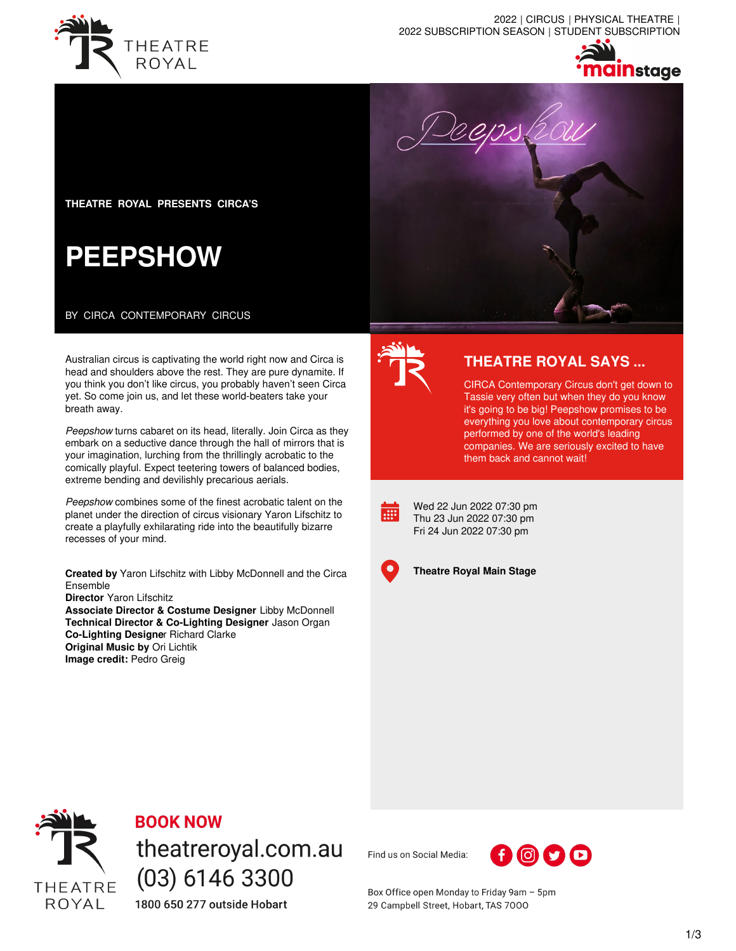

2022 | CIRCUS | PHYSICAL THEATRE | 2022 SUBSCRIPTION SEASON | STUDENT SUBSCRIPTION



**THEATRE ROYAL PRESENTS CIRCA'S**

# **PEEPSHOW**

BY CIRCA CONTEMPORARY CIRCUS

Australian circus is captivating the world right now and Circa is head and shoulders above the rest. They are pure dynamite. If you think you don't like circus, you probably haven't seen Circa yet. So come join us, and let these world-beaters take your breath away.

*Peepshow* turns cabaret on its head, literally. Join Circa as they embark on a seductive dance through the hall of mirrors that is your imagination, lurching from the thrillingly acrobatic to the comically playful. Expect teetering towers of balanced bodies, extreme bending and devilishly precarious aerials.

*Peepshow* combines some of the finest acrobatic talent on the planet under the direction of circus visionary Yaron Lifschitz to create a playfully exhilarating ride into the beautifully bizarre recesses of your mind.

**Created by** Yaron Lifschitz with Libby McDonnell and the Circa Ensemble

**Director** Yaron Lifschitz

**Associate Director & Costume Designer** Libby McDonnell **Technical Director & Co-Lighting Designer** Jason Organ **Co-Lighting Designe**r Richard Clarke **Original Music by** Ori Lichtik **Image credit:** Pedro Greig





## **THEATRE ROYAL SAYS ...**

CIRCA Contemporary Circus don't get down to Tassie very often but when they do you know it's going to be big! Peepshow promises to be everything you love about contemporary circus performed by one of the world's leading companies. We are seriously excited to have them back and cannot wait!

 $\overline{...}$ 

Wed 22 Jun 2022 07:30 pm Thu 23 Jun 2022 07:30 pm Fri 24 Jun 2022 07:30 pm



**Theatre Royal Main Stage**



# **BOOK NOW**

theatreroyal.com.au  $(03)$  6146 3300 1800 650 277 outside Hobart

Find us on Social Media:



Box Office open Monday to Friday 9am - 5pm 29 Campbell Street, Hobart, TAS 7000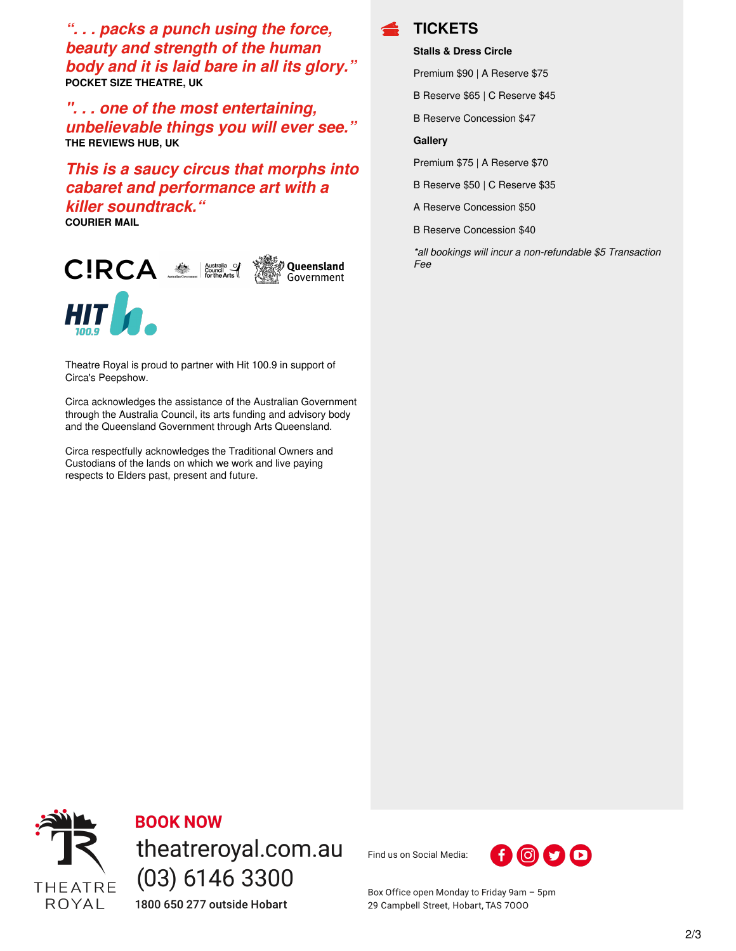*". . . packs a punch using the force, beauty and strength of the human body and it is laid bare in all its glory."* **POCKET SIZE THEATRE, UK**

*". . . one of the most entertaining, unbelievable things you will ever see."* **THE REVIEWS HUB, UK**

*This is a saucy circus that morphs into cabaret and performance art with a killer soundtrack."*

**COURIER MAIL**



Theatre Royal is proud to partner with Hit 100.9 in support of Circa's Peepshow.

Circa acknowledges the assistance of the Australian Government through the Australia Council, its arts funding and advisory body and the Queensland Government through Arts Queensland.

Circa respectfully acknowledges the Traditional Owners and Custodians of the lands on which we work and live paying respects to Elders past, present and future.



#### **Stalls & Dress Circle**

Premium \$90 | A Reserve \$75

B Reserve \$65 | C Reserve \$45

B Reserve Concession \$47

#### **Gallery**

Premium \$75 | A Reserve \$70

B Reserve \$50 | C Reserve \$35

A Reserve Concession \$50

B Reserve Concession \$40

*\*all bookings will incur a non-refundable \$5 Transaction Fee*



**BOOK NOW** theatreroyal.com.au  $(03)$  6146 3300 1800 650 277 outside Hobart

Find us on Social Media:



Box Office open Monday to Friday 9am - 5pm 29 Campbell Street, Hobart, TAS 7000